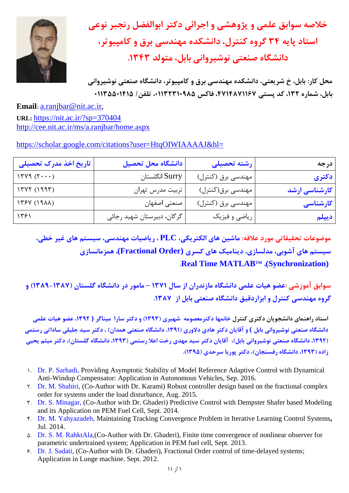

**خالصه سوابق علمي و پژوهشي و اجرائي دکتر ابوالفضل رنجبر نوعي استاد پایه 34 گروه کنترل، دانشكده مهندسي برق و کامپیوتر، دانشگاه صنعتي نوشیرواني بابل، متولد .1343**

**محل کار: بابل، خ شریعتي، دانشكده مهندسي برق و کامپیوتر، دانشگاه صنعتي نوشیرواني بابل، شماره ،132 کد پستي ،4714871167 فاکس ،01132310985 تلفن/ 01135501415**

**Email:** [a.ranjbar@nit.ac.ir](mailto:a.ranjbar@nit.ac.ir)**, URL:** <https://nit.ac.ir/?sp=370404> <http://cee.nit.ac.ir/ms/a.ranjbar/home.aspx>

## [https://scholar.google.com/citations?user=HtqOIWIAAAAJ&hl=](https://scholar.google.com/citations?user=HtqOIWIAAAAJ&hl)

| تاریخ اخذ مدرک تحصیلی | دانشگاه محل تحصیل          | رشته تحصیلی        | درجه          |
|-----------------------|----------------------------|--------------------|---------------|
| 17Y9(Y)               | انگلستان Surry             | مهندسی برق (کنترل) | دکتری         |
| 1747 (1997)           | تربيت مدرس تهران           | مهندسی برق(کنترل)  | کارشناسی ارشد |
| 1۳۶۷ (1911)           | صنعتي اصفهان               | مهندسي برق (كنترل) | کارشناسی      |
| ۱۳۶۱                  | گرگان، دبیرستان شهید رجائی | ریاضی و فیزیک      | ديپلم         |

**موضوعات تحقیقاتي مورد عالقه: ماشین های الكتریكي، PLC ، ریاضیات مهندسي، سیستم های غیر خطي، سیستم های آشوبي، مدلسازی، دینامیک های کسری (Order Fractional(، همزمانسازی ،(Synchronization) Real Time MATLABTM .**

**سوابق آموزشي :عضو هیات علمي دانشگاه مازندران از سال 1371 – مامور در دانشگاه گلستان )1389-1387( و گروه مهندسي کنترل و ابزاردقیق دانشگاه صنعتي بابل از .1387**

**استاد راهنمای دانشجویان دکتری کنترل خانمها دکترمعصومه شهیری )1393( و دکتر سارا میناگر ( ،1392 عضو هیات علمي دانشگاه صنعتي نوشیرواني بابل ) و آقایان دکتر هادی دالوری )،1391 دانشگاه صنعتي همدان( ، دکتر سید جلیلي ساداتي رستمي )،1392 دانشگاه صنعتي نوشیرواني بابل(، آقایان دکتر سید مهدی رخت اعال رستمي )،1393 دانشگاه گلستان(، دکتر میثم یحیي زاده )،1393 دانشگاه رفسنجان(، دکتر پوریا سرحدی )1395(.**

- 1. Dr. P. Sarhadi, Providing Asymptotic Stability of Model Reference Adaptive Control with Dynamical Anti-Windup Compensator: Application in Autonomous Vehicles, Sep. 2016.
- 2. Dr. M. Shahiri, (Co-Author with Dr. Karami) Robust controller design based on the fractional complex order for systems under the load disturbance, Aug. 2015.
- 3. Dr. S. Minagar, (Co-Author with Dr. Ghaderi) Predictive Control with Dempster Shafer based Modeling and its Application on PEM Fuel Cell, Sept. 2014.
- 4. Dr. M. Yahyazadeh, Maintaining Tracking Convergence Problem in Iterative Learning Control Systems**,**  Jul. 2014.
- 5. Dr. S. M. RahktAla,(Co-Author with Dr. Ghaderi), Finite time convergence of nonlinear observer for parametric undertrained system; Application in PEM fuel cell, Sept. 2013.
- 6. Dr. J. Sadati, (Co-Author with Dr. Ghaderi), Fractional Order control of time-delayed systems; Application in Lunge machine. Sept. 2012.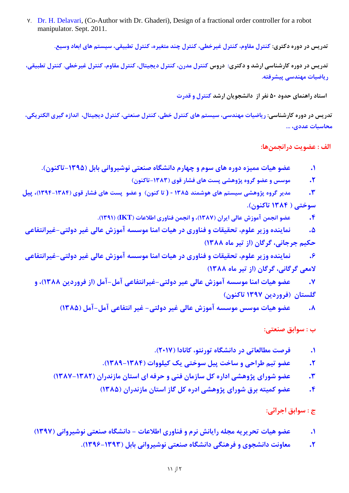7. Dr. H. Delavari, (Co-Author with Dr. Ghaderi), Design of a fractional order controller for a robot manipulator. Sept. 2011.

**تدریس در دوره دکتری: کنترل مقاوم، کنترل غیرخطي، کنترل چند متغیره، کنترل تطبیقي، سیستم های ابعاد وسیع.**

**تدریس در دوره کارشناسي ارشد و دکتری: دروس کنترل مدرن، کنترل دیجیتال، کنترل مقاوم، کنترل غیرخطي. کنترل تطبیقي، ریاضیات مهندسي پیشرفته.**

**استاد راهنمای حدود 50 نفر از دانشجویان ارشد کنترل و قدرت**

**تدریس در دوره کارشناسي: ریاضیات مهندسي، سیستم های کنترل خطي، کنترل صنعتي، کنترل دیجیتال، اندازه گیری الكتریكي، محاسبات عددی، ...**

**الف : عضویت درانجمنها:**

**.1 عضو هیات ممیزه دوره های سوم و چهارم دانشگاه صنعتي نوشیرواني بابل )-1395تاکنون(.**

**.2 موسس و عضو گروه پژوهشي پست های فشار قوی )-1383تاکنون(**

**.3 مدیر گروه پژوهشي سیستم های هوشمند <sup>1385</sup> - ( تا کنون( و عضو پست های فشار قوی )1394-1384(، پیل سوختي ) 1384 تاکنون(.** 

**.4 عضو انجمن آموزش عالي ایران )1387(، و انجمن فناوری اطالعات )IKT( )1391).**

**.5 نماینده وزیر علوم، تحقیقات و فناوری در هیات امنا موسسه آموزش عالي غیر دولتي-غیرانتفاعي حكیم جرجاني، گرگان )از تیر ماه 1388(**

**.6 نماینده وزیر علوم، تحقیقات و فناوری در هیات امنا موسسه آموزش عالي غیر دولتي-غیرانتفاعي المعي گرگاني، گرگان )از تیر ماه 1388(**

**.7 عضو هیات امنا موسسه آموزش عالي عیر دولتي-غیرانتفاعي آمل-آمل )از فروردین 1388(، و گلستان )فروردین 1397 تاکنون(**

**.8 عضو هیات موسس موسسه آموزش عالي غیر دولتي- غیر انتفاعي آمل-آمل )1385(**

**ب : سوابق صنعتي:** 

- **.1 فرصت مطالعاتي در دانشگاه تورنتو، کانادا )2017(.**
- **.2 عضو تیم طراحي و ساخت پیل سوختي یک کیلووات )1389-1384(.**
- **.3 عضو شورای پژوهشي اداره کل سازمان فني و حرفه ای استان مازندران )1387-1382(**
	- **.4 عضو کمیته برق شورای پژوهشي ادره کل گاز استان مازندران )1385(**

**ج : سوابق اجرائي:**

- **.1 عضو هیات تحریریه مجله رایانش نرم و فناوری اطالعات - دانشگاه صنعتي نوشیرواني )1397(**
	- **.2 معاونت دانشجوی و فرهنگي دانشگاه صنعتي نوشیرواني بابل )1396-1393(.**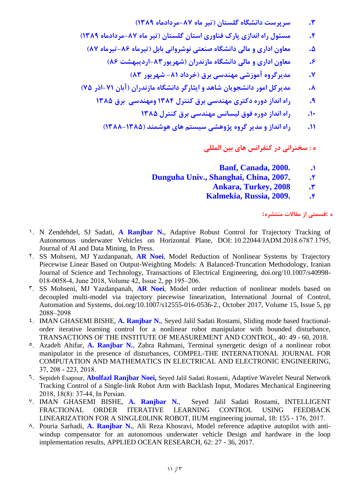**.3 سرپرست دانشگاه گلستان )تیر ماه -87مردادماه 1389(**

**.4 مسئول راه اندازی پارک فناوری استان گلستان )تیر ماه -87مردادماه 1389(**

- **.5 معاون اداری و مالي دانشگاه صنعتي نوشرواني بابل )تیرماه -86تیرماه 87(**
	- **.6 معاون اداری و مالي دانشگاه مازندران )شهریور-83اردیبهشت 86(**
		- **.7 مدیرگروه آموزشي مهندسي برق )خرداد -81 شهریور 83(**
- **.8 مدیرکل امور دانشجویان شاهد و ایثارگر دانشگاه مازندران )آبان -71اذر 75(**
	- **.9 راه انداز دوره دکتری مهندسي برق کنترل 1384 ومهندسي برق 1385**
		- **.10 راه انداز دوره فوق لیسانس مهندسي برق کنترل 1385**
		- **.11 راه انداز و مدیر گروه پژوهشي سیستم های هوشمند )1388-1385(**

**ه : سخنراني در کنفرانس های بین المللي** 

- **Banf, Canada, 2000. .1**
- **Dunguha Univ., Shanghai, China, 2007. .2**
	-
	- **Ankara, Turkey, 2008 .3 Kalmekia, Russia, 2009. .4**

**ه :قسمتي از مقاالت منتشره:**

- 1. N Zendehdel, SJ Sadati, **A Ranjbar N.**, Adaptive Robust Control for Trajectory Tracking of Autonomous underwater Vehicles on Horizontal Plane, DOI: 10.22044/JADM.2018.6787.1795, Journal of AI and Data Mining, In Press.
- 2. SS Mohseni, MJ Yazdanpanah, **AR Noei**, Model Reduction of Nonlinear Systems by Trajectory Piecewise Linear Based on Output-Weighting Models: A Balanced-Truncation Methodology, Iranian Journal of Science and Technology, Transactions of Electrical Engineering, doi.org/10.1007/s40998- 018-0058-4, June 2018, Volume 42, [Issue](https://link.springer.com/journal/40998/42/2/page/1) 2, pp 195–206.
- 3. SS Mohseni, MJ Yazdanpanah, **AR Noei**, Model order reduction of nonlinear models based on decoupled multi-model via trajectory piecewise linearization, [International Journal of Control,](https://link.springer.com/journal/12555)  [Automation and Systems,](https://link.springer.com/journal/12555) doi.org/10.1007/s12555-016-0536-2., October 2017, Volume 15, [Issue](https://link.springer.com/journal/12555/15/5/page/1) 5, pp 2088–2098
- 4. IMAN GHASEMI BISHE, **A. Ranjbar N.**, Seyed Jalil Sadati Rostami, Sliding mode based fractionalorder iterative learning control for a nonlinear robot manipulator with bounded disturbance, TRANSACTIONS OF THE INSTITUTE OF MEASUREMENT AND CONTROL, 40: 49 - 60, 2018.
- 5. Azadeh Ahifar, **A. Ranjbar N.**, Zahra Rahmani, Terminal synergetic design of a nonlinear robot manipulator in the presence of disturbances, COMPEL-THE INTERNATIONAL JOURNAL FOR COMPUTATION AND MATHEMATICS IN ELECTRICAL AND ELECTRONIC ENGINEERING, 37, 208 - 223, 2018.
- 6. Sepideh Esapour, **Abolfazl Ranjbar Noei,** Seyed Jalil Sadati Rostami, Adaptive Wavelet Neural Network Tracking Control of a Single-link Robot Arm with Backlash Input, [Modares Mechanical Engineering](http://journals.modares.ac.ir/browse.php?mag_id=1111&slc_lang=en&sid=15)  [2018, 18\(8\): 37-44,](http://journals.modares.ac.ir/browse.php?mag_id=1111&slc_lang=en&sid=15) In Persian.
- 7. IMAN GHASEMI BISHE, **A. Ranjbar N.**, Seyed Jalil Sadati Rostami, INTELLIGENT FRACTIONAL ORDER ITERATIVE LEARNING CONTROL USING FEEDBACK LINEARIZATION FOR A SINGLE0LINK ROBOT, IIUM engineering journal, 18: 155 - 176, 2017.
- 8. Pouria Sarhadi, **A. Ranjbar N.**, Ali Reza Khosravi, Model reference adaptive autopilot with antiwindup compensator for an autonomous underwater vehicle Design and hardware in the loop implementation results, APPLIED OCEAN RESEARCH, 62: 27 - 36, 2017.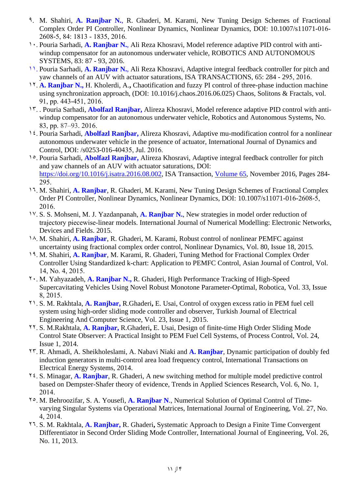- 9. M. Shahiri, **A. Ranjbar N.**, R. Ghaderi, M. Karami, New Tuning Design Schemes of Fractional Complex Order PI Controller, Nonlinear Dynamics, Nonlinear Dynamics, DOI: 10.1007/s11071-016- 2608-5, 84: 1813 - 1835, 2016.
- 10. Pouria Sarhadi, **A. Ranjbar N.**, Ali Reza Khosravi, Model reference adaptive PID control with antiwindup compensator for an autonomous underwater vehicle, ROBOTICS AND AUTONOMOUS SYSTEMS, 83: 87 - 93, 2016.
- 11. Pouria Sarhadi, **A. Ranjbar N.**, Ali Reza Khosravi, Adaptive integral feedback controller for pitch and yaw channels of an AUV with actuator saturations, ISA TRANSACTIONS, 65: 284 - 295, 2016.
- 12. **A. Ranjbar N.,** H. Kholerdi, A.**,** Chaotification and fuzzy PI control of three-phase induction machine using synchronization approach, (DOI: 10.1016/j.chaos.2016.06.025) Chaos, Solitons & Fractals, vol. 91, pp. 443-451, 2016.
- 13. . Pouria Sarhadi, **Abolfazl Ranjbar,** Alireza Khosravi, Model reference adaptive PID control with antiwindup compensator for an autonomous underwater vehicle, Robotics and Autonomous Systems, No. 83, pp. 87–93. 2016.
- 14. Pouria Sarhadi, **Abolfazl Ranjbar,** Alireza Khosravi, Adaptive mu-modification control for a nonlinear autonomous underwater vehicle in the presence of actuator, International Journal of Dynamics and Control, DOI: /s0253-016-40435, Jul. 2016.
- 15. Pouria Sarhadi, **Abolfazl Ranjbar,** Alireza Khosravi, Adaptive integral feedback controller for pitch and yaw channels of an AUV with actuator saturations, DOI: [https://doi.org/10.1016/j.isatra.2016.08.002,](https://doi.org/10.1016/j.isatra.2016.08.002) ISA Transaction, [Volume 65,](https://www.sciencedirect.com/science/journal/00190578/65/supp/C) November 2016, Pages 284-295.
- 16. M. Shahiri, **A. Ranjbar**, R. Ghaderi, M. Karami, New Tuning Design Schemes of Fractional Complex Order PI Controller, Nonlinear Dynamics, Nonlinear Dynamics, DOI: 10.1007/s11071-016-2608-5, 2016.
- 17. S. S. Mohseni, M. J. Yazdanpanah, **A. Ranjbar N.**, New strategies in model order reduction of trajectory piecewise‐linear models. International Journal of Numerical Modelling: Electronic Networks, Devices and Fields. 2015.
- 18. M. Shahiri, **A. Ranjbar**, R. Ghaderi, M. Karami, Robust control of nonlinear PEMFC against uncertainty using fractional complex order control, Nonlinear Dynamics, Vol. 80, Issue 18, 2015.
- 19. M. Shahiri, **A. Ranjbar**, M. Karami, R. Ghaderi, Tuning Method for Fractional Complex Order Controller Using Standardized k-chart: Application to PEMFC Control, Asian Journal of Control, Vol. 14, No. 4, 2015.
- 20. M. Yahyazadeh, **A. Ranjbar N.,** R. Ghaderi, High Performance Tracking of High-Speed Supercavitating Vehicles Using Novel Robust Monotone Parameter-Optimal, Robotica, Vol. 33, Issue 8, 2015.
- 21. S. M. Rakhtala, **A. Ranjbar,** R.Ghaderi**,** E. Usai, Control of oxygen excess ratio in PEM fuel cell system using high-order sliding mode controller and observer, Turkish Journal of Electrical Engineering And Computer Science, Vol. 23, Issue 1, 2015.
- 22. S. M.Rakhtala, **A. Ranjbar,** R.Ghaderi**,** E. Usai, Design of finite-time High Order Sliding Mode Control State Observer: A Practical Insight to PEM Fuel Cell Systems, of Process Control, Vol. 24, Issue 1, 2014.
- 23. R. Ahmadi, A. Sheikholeslami, A. Nabavi Niaki and **A. Ranjbar**, Dynamic participation of doubly fed induction generators in multi-control area load frequency control, International Transactions on Electrical Energy Systems, 2014.
- 24. S. Minagar, **A. Ranjbar**, R. Ghaderi, A new switching method for multiple model predictive control based on Dempster-Shafer theory of evidence, Trends in Applied Sciences Research, Vol. 6, No. 1, 2014.
- 25. M. Behroozifar, S. A. Yousefi, **A. Ranjbar N**., Numerical Solution of Optimal Control of Timevarying Singular Systems via Operational Matrices, International Journal of Engineering, Vol. 27, No. 4, 2014.
- 26. S. M. Rakhtala, **A. Ranjbar,** R. Ghaderi**,** Systematic Approach to Design a Finite Time Convergent Differentiator in Second Order Sliding Mode Controller, International Journal of Engineering, Vol. 26, No. 11, 2013.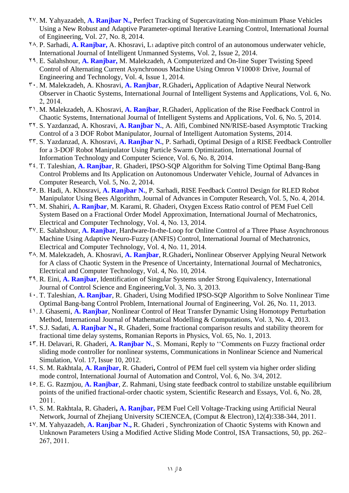- 27. M. Yahyazadeh, **A. Ranjbar N.,** Perfect Tracking of Supercavitating Non-minimum Phase Vehicles Using a New Robust and Adaptive Parameter-optimal Iterative Learning Control, International Journal of Engineering, Vol. 27, No. 8, 2014.
- 28. P. Sarhadi, **A. Ranjbar,** A. Khosravi, L<sup>1</sup> adaptive pitch control of an autonomous underwater vehicle, International Journal of Intelligent Unmanned Systems, Vol. 2, Issue 2, 2014.
- 29. E. Salahshour, **A. Ranjbar,** M. Malekzadeh, A Computerized and On-line Super Twisting Speed Control of Alternating Current Asynchronous Machine Using Omron V1000® Drive, Journal of Engineering and Technology, Vol. 4, Issue 1, 2014.
- 30. M. Malekzadeh, A. Khosravi, **A. Ranjbar**, R.Ghaderi**,** Application of Adaptive Neural Network Observer in Chaotic Systems, International Journal of Intelligent Systems and Applications, Vol. 6, No. 2, 2014.
- 31. M. Malekzadeh, A. Khosravi, **A. Ranjbar**, R.Ghaderi, Application of the Rise Feedback Control in Chaotic Systems, International Journal of Intelligent Systems and Applications, Vol. 6, No. 5, 2014.
- 32. S. Yazdanzad, A. Khosravi, **A. Ranjbar N.**, A. Alfi, Combined NN/RISE-based Asymptotic Tracking Control of a 3 DOF Robot Manipulator, Journal of Intelligent Automation Systems, 2014.
- 33. S. Yazdanzad, A. Khosravi, **A. Ranjbar N.**, P. Sarhadi, Optimal Design of a RISE Feedback Controller for a 3-DOF Robot Manipulator Using Particle Swarm Optimization, International Journal of Information Technology and Computer Science, Vol. 6, No. 8, 2014.
- 34. T. Taleshian, **A. Ranjbar**, R. Ghaderi, IPSO-SQP Algorithm for Solving Time Optimal Bang-Bang Control Problems and Its Application on Autonomous Underwater Vehicle, Journal of Advances in Computer Research, Vol. 5, No. 2, 2014.
- 35. B. Hadi, A. Khosravi, **A. Ranjbar N.**, P. Sarhadi, RISE Feedback Control Design for RLED Robot Manipulator Using Bees Algorithm, Journal of Advances in Computer Research, Vol. 5, No. 4, 2014.
- 36. M. Shahiri, **A. Ranjbar**, M. Karami, R. Ghaderi, Oxygen Excess Ratio control of PEM Fuel Cell System Based on a Fractional Order Model Approximation, International Journal of Mechatronics, Electrical and Computer Technology, Vol. 4, No. 13, 2014.
- 37. E. Salahshour, **A. Ranjbar**, Hardware-In-the-Loop for Online Control of a Three Phase Asynchronous Machine Using Adaptive Neuro-Fuzzy (ANFIS) Control, International Journal of Mechatronics, Electrical and Computer Technology, Vol. 4, No. 11, 2014.
- 38. M. Malekzadeh, A. Khosravi, **A. Ranjbar**, R.Ghaderi**,** Nonlinear Observer Applying Neural Network for A class of Chaotic System in the Presence of Uncertainty, International Journal of Mechatronics, Electrical and Computer Technology, Vol. 4, No. 10, 2014.
- 39. R. Eini, **A. Ranjbar**, Identification of Singular Systems under Strong Equivalency, International Journal of Control Science and Engineering,Vol. 3, No. 3, 2013.
- 40. T. Taleshian, **A. Ranjbar**, R. Ghaderi, Using Modified IPSO-SQP Algorithm to Solve Nonlinear Time Optimal Bang-bang Control Problem, International Journal of Engineering, Vol. 26, No. 11, 2013.
- 41. J. Ghasemi, **A. Ranjbar**, Nonlinear Control of Heat Transfer Dynamic Using Homotopy Perturbation Method, International Journal of Mathematical Modelling & Computations, Vol. 3, No. 4, 2013.
- 42. S.J. Sadati, **A. Ranjbar N.,** R. Ghaderi, Some fractional comparison results and stability theorem for fractional time delay systems, Romanian Reports in Physics, Vol. 65, No. 1, 2013.
- 43. H. Delavari, R. Ghaderi, **A. Ranjbar N.**, S. Momani, Reply to ''Comments on Fuzzy fractional order sliding mode controller for nonlinear systems, Communications in Nonlinear Science and Numerical Simulation, Vol. 17, Issue 10, 2012.
- 44. S. M. Rakhtala, **A. Ranjbar,** R. Ghaderi**,** Control of PEM fuel cell system via higher order sliding mode control, International Journal of Automation and Control, Vol. 6, No. 3/4, 2012.
- 45. E. G. Razmjou, **A. Ranjbar**, Z. Rahmani, Using state feedback control to stabilize unstable equilibrium points of the unified fractional-order chaotic system, Scientific Research and Essays, Vol. 6, No. 28, 2011.
- 46. S. M. Rakhtala, R. Ghaderi**, A. Ranjbar,** PEM Fuel Cell Voltage-Tracking using Artificial Neural Network, Journal of Zhejiang University SCIENCEA, (Comput & Electron)¸12(4):338-344, 2011.
- 47. M. Yahyazadeh, **A. Ranjbar N.,** R. Ghaderi , Synchronization of Chaotic Systems with Known and Unknown Parameters Using a Modified Active Sliding Mode Control, ISA Transactions, 50, pp. 262– 267, 2011.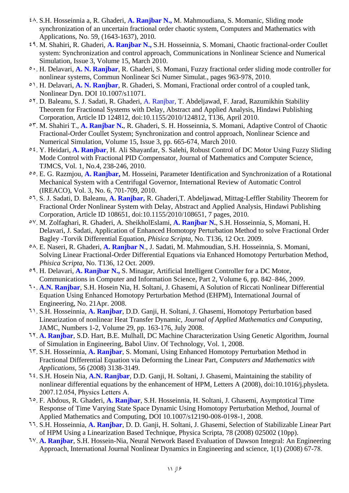- 48. S.H. Hosseinnia a, R. Ghaderi, **A. Ranjbar N.,** M. Mahmoudiana, S. Momanic, Sliding mode synchronization of an uncertain fractional order chaotic system, Computers and Mathematics with Applications, No. 59, (1643-1637), 2010.
- 49. M. Shahiri, R. Ghaderi, **A. Ranjbar N.,** S.H. Hosseinnia, S. Momani, Chaotic fractional-order Coullet system: Synchronization and control approach, Communications in Nonlinear Science and Numerical Simulation, Issue 3, Volume 15, March 2010.
- 50. H. Delavari, **A. N. Ranjbar**, R. Ghaderi, S. Momani, Fuzzy fractional order sliding mode controller for nonlinear systems, Commun Nonlinear Sci Numer Simulat., pages 963-978, 2010.
- 51. H. Delavari, **A. N. Ranjbar**, R. Ghaderi, S. Momani, Fractional order control of a coupled tank, Nonlinear Dyn. DOI 10.1007/s11071.
- 52. D. Baleanu, S. J. Sadati, R. Ghaderi, A. Ranjbar, T. Abdeljawad, F. Jarad, Razumikhin Stability Theorem for Fractional Systems with Delay, Abstract and Applied Analysis, Hindawi Publishing Corporation, Article ID 124812, doi:10.1155/2010/124812, T136, April 2010.
- 53. M. Shahiri T., **A. Ranjbar N.**, R. Ghaderi, S. H. Hosseinnia, S. Momani, Adaptive Control of Chaotic Fractional-Order Coullet System; Synchronization and control approach, Nonlinear Science and Numerical Simulation, Volume 15, Issue 3, pp. 665-674, March 2010.
- 54. Y. Heidari, **A. Ranjbar**, H. Ali Shayanfar, S. Salehi, Robust Control of DC Motor Using Fuzzy Sliding Mode Control with Fractional PID Compensator, Journal of Mathematics and Computer Science, TJMCS, Vol. 1, No.4, 238-246, 2010.
- 55. E. G. Razmjou, **A. Ranjbar,** M. Hosseini, Parameter Identification and Synchronization of a Rotational Mechanical System with a Centrifugal Governor, International Review of Automatic Control (IREACO), Vol. 3, No. 6, 701-709, 2010.
- 56. S. J. Sadati, D. Baleanu, **A. Ranjbar,** R. Ghaderi,T. Abdeljawad, Mittag-Leffler Stability Theorem for Fractional Order Nonlinear System with Delay, Abstract and Applied Analysis, Hindawi Publishing Corporation, Article ID 108651, doi:10.1155/2010/108651, 7 pages, 2010.
- 57. M. Zolfaghari, R. Ghaderi, A. SheikholEslami, **A. Ranjbar N.**, S.H. Hosseinnia, S, Momani, H. Delavari, J. Sadati, Application of Enhanced Homotopy Perturbation Method to solve Fractional Order Bagley -Torvik Differential Equation, *Phisica Scripta*, No. T136, 12 Oct. 2009.
- 58. E. Naseri, R. Ghaderi, **A. Ranjbar N**., J. Sadati, M. Mahmoudian, S.H. Hosseinnia, S. Momani, Solving Linear Fractional-Order Differential Equations via Enhanced Homotopy Perturbation Method, *Phisica Scripta*, No. T136, 12 Oct. 2009.
- 59. H. Delavari, **A. Ranjbar N.,** S. Minagar, Artificial Intelligent Controller for a DC Motor, Communications in Computer and Information Science, Part 2, Volume 6, pp. 842–846, 2009.
- 60. **A.N. Ranjbar**, S.H. Hosein Nia, H. Soltani, J. Ghasemi, A Solution of Riccati Nonlinear Differential Equation Using Enhanced Homotopy Perturbation Method (EHPM), International Journal of Engineering, No. 21Apr. 2008.
- 61. S.H. Hosseinnia, **A. Ranjbar**, D.D. Ganji, H. Soltani, J. Ghasemi, Homotopy Perturbation based Linearization of nonlinear Heat Transfer Dynamic, *Journal of Applied Mathematics and Computing*, JAMC, Numbers 1-2, Volume 29, pp. 163-176, July 2008.
- 62. **A. Ranjbar**, S.D. Hart, B.E. Mulhall, DC Machine Characterization Using Genetic Algorithm, Journal of Simulation in Engineering, Babol Uinv. Of Technology, Vol. 1, 2008.
- 63. S.H. Hosseinnia, **A. Ranjbar**, S. Momani, Using Enhanced Homotopy Perturbation Method in Fractional Differential Equation via Deforming the Linear Part, *Computers and Mathematics with Applications,* 56 (2008) 3138-3149.
- 64. S.H. Hosein Nia, **A.N. Ranjbar**, D.D. Ganji, H. Soltani, J. Ghasemi, Maintaining the stability of nonlinear differential equations by the enhancement of HPM, Letters A (2008), doi:10.1016/j.physleta. 2007.12.054, Physics Letters A.
- 65. F. Abdous, R. Ghaderi, **A. Ranjbar**, S.H. Hosseinnia, H. Soltani, J. Ghasemi, Asymptotical Time Response of Time Varying State Space Dynamic Using Homotopy Perturbation Method, Journal of Applied Mathematics and Computing, DOI 10.1007/s12190-008-0198-1, 2008.
- 66. S.H. Hosseinnia, **A. Ranjbar**, D. D. Ganji, H. Soltani, J. Ghasemi, Selection of Stabilizable Linear Part of HPM Using a Linearization Based Technique, Physica Scripta, 78 (2008) 025002 (10pp).
- 67. **A. Ranjbar**, S.H. Hossein-Nia, Neural Network Based Evaluation of Dawson Integral: An Engineering Approach, International Journal Nonlinear Dynamics in Engineering and science, 1(1) (2008) 67-78.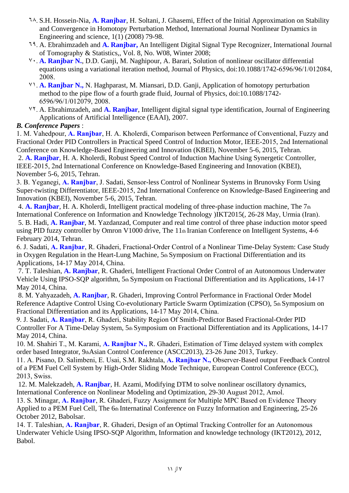- 68. S.H. Hossein-Nia, **A. Ranjbar**, H. Soltani, J. Ghasemi, Effect of the Initial Approximation on Stability and Convergence in Homotopy Perturbation Method, International Journal Nonlinear Dynamics in Engineering and science, 1(1) (2008) 79-98.
- 69. A. Ebrahimzadeh and **A. Ranjbar,** An Intelligent Digital Signal Type Recognizer, International Journal of Tomography & Statistics,, Vol. 8, No. W08, Winter 2008;
- 70. **A. Ranjbar N.**, D.D. Ganji, M. Naghipour, A. Barari, Solution of nonlinear oscillator differential equations using a variational iteration method, Journal of Physics, doi:10.1088/1742-6596/96/1/012084, 2008.
- 71. **A. Ranjbar N.,** N. Haghparast, M. Miansari, D.D. Ganji, Application of homotopy perturbation method to the pipe flow of a fourth grade fluid, Journal of Physics, doi:10.1088/1742- 6596/96/1/012079, 2008.
- 72. A. Ebrahimzadeh, and **A. Ranjbar**, Intelligent digital signal type identification, Journal of Engineering Applications of Artificial Intelligence (EAAI), 2007.

## *B. Conference Papers* :

1. M. Vahedpour, **A. Ranjbar**, H. A. Kholerdi, Comparison between Performance of Conventional, Fuzzy and Fractional Order PID Controllers in Practical Speed Control of Induction Motor, IEEE-2015, 2nd International Conference on Knowledge-Based Engineering and Innovation (KBEI), November 5-6, 2015, Tehran. 2. **A. Ranjbar**, H. A. Kholerdi, Robust Speed Control of Induction Machine Using Synergetic Controller,

IEEE-2015, 2nd International Conference on Knowledge-Based Engineering and Innovation (KBEI), November 5-6, 2015, Tehran.

3. B. Yeganegi, **A. Ranjbar**, J. Sadati, Sensor-less Control of Nonlinear Systems in Brunovsky Form Using Super-twisting Differentiator, IEEE-2015, 2nd International Conference on Knowledge-Based Engineering and Innovation (KBEI), November 5-6, 2015, Tehran.

4. **A. Ranjbar**, H. A. Kholerdi, Intelligent practical modeling of three-phase induction machine, The 7th International Conference on Information and Knowledge Technology )IKT2015(, 26-28 May, Urmia (Iran). 5. B. Hadi, **A. Ranjbar**, M. Yazdanzad, Computer and real time control of three phase induction motor speed using PID fuzzy controller by Omron V1000 drive, The 11th Iranian Conference on Intelligent Systems, 4-6 February 2014, Tehran.

6. J. Sadati, **A. Ranjbar**, R. Ghaderi, Fractional-Order Control of a Nonlinear Time-Delay System: Case Study in Oxygen Regulation in the Heart-Lung Machine, 5th Symposium on Fractional Differentiation and its Applications, 14-17 May 2014, China.

7. T. Taleshian, **A. Ranjbar**, R. Ghaderi, Intelligent Fractional Order Control of an Autonomous Underwater Vehicle Using IPSO-SQP algorithm, 5th Symposium on Fractional Differentiation and its Applications, 14-17 May 2014, China.

8. M. Yahyazadeh, **A. Ranjbar**, R. Ghaderi, Improving Control Performance in Fractional Order Model Reference Adaptive Control Using Co-evolutionary Particle Swarm Optimization (CPSO), 5th Symposium on Fractional Differentiation and its Applications, 14-17 May 2014, China.

9. J. Sadati, **A. Ranjbar**, R. Ghaderi, Stability Region Of Smith-Predictor Based Fractional-Order PID Controller For A Time-Delay System, 5th Symposium on Fractional Differentiation and its Applications, 14-17 May 2014, China.

10. M. Shahiri T., M. Karami, **A. Ranjbar N.,** R. Ghaderi, Estimation of Time delayed system with complex order based Integrator, 9thAsian Control Conference (ASCC2013), 23-26 June 2013, Turkey.

11. A. Pisano, D. Salimbeni, E. Usai, S.M. Rakhtala, **A. Ranjbar N.,** Observer-Based output Feedback Control of a PEM Fuel Cell System by High-Order Sliding Mode Technique, European Control Conference (ECC), 2013, Swiss.

12. M. Malekzadeh, **A. Ranjbar**, H. Azami, Modifying DTM to solve nonlinear oscillatory dynamics, International Conference on Nonlinear Modeling and Optimization, 29-30 August 2012, Amol.

13. S. Minagar, **A. Ranjbar**, R. Ghaderi, Fuzzy Assignment for Multiple MPC Based on Evidence Theory Applied to a PEM Fuel Cell, The 6th Internatinal Conference on Fuzzy Information and Engineering, 25-26 October 2012, Babolsar.

14. T. Taleshian, **A. Ranjbar**, R. Ghaderi, Design of an Optimal Tracking Controller for an Autonomous Underwater Vehicle Using IPSO-SQP Algorithm, Information and knowledge technology (IKT2012), 2012, Babol.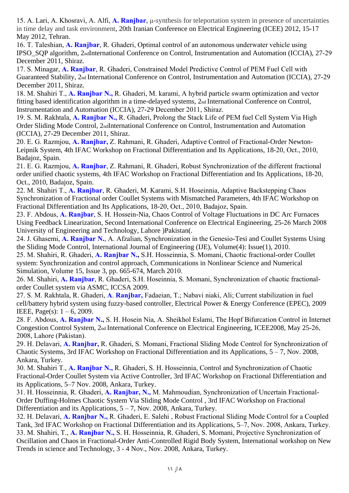15. A. Lari, A. Khosravi, A. Alfi, **A. Ranjbar**, μ-synthesis for teleportation system in presence of uncertainties in time delay and task environment, 20th Iranian Conference on Electrical Engineering (ICEE) 2012, 15-17 May 2012, Tehran.

16. T. Taleshian, **A. Ranjbar**, R. Ghaderi, Optimal control of an autonomous underwater vehicle using IPSO\_SQP algorithm, 2ndInternational Conference on Control, Instrumentation and Automation (ICCIA), 27-29 December 2011, Shiraz.

17. S. Minagar, **A. Ranjbar**, R. Ghaderi, Constrained Model Predictive Control of PEM Fuel Cell with Guaranteed Stability, 2nd International Conference on Control, Instrumentation and Automation (ICCIA), 27-29 December 2011, Shiraz.

18. M. Shahiri T., **A. Ranjbar N.,** R. Ghaderi, M. karami, A hybrid particle swarm optimization and vector fitting based identification algorithm in a time-delayed systems, 2nd International Conference on Control, Instrumentation and Automation (ICCIA), 27-29 December 2011, Shiraz.

19. S. M. Rakhtala, **A. Ranjbar N.,** R. Ghaderi, Prolong the Stack Life of PEM fuel Cell System Via High Order Sliding Mode Control, 2ndInternational Conference on Control, Instrumentation and Automation (ICCIA), 27-29 December 2011, Shiraz.

20. E. G. Razmjou, **A. Ranjbar,** Z. Rahmani, R. Ghaderi, Adaptive Control of Fractional-Order Newton-Leipnik System, 4th IFAC Workshop on Fractional Differentiation and Its Applications, 18-20, Oct., 2010, Badajoz, Spain.

21. E. G. Razmjou, **A. Ranjbar**, Z. Rahmani, R. Ghaderi, Robust Synchronization of the different fractional order unified chaotic systems, 4th IFAC Workshop on Fractional Differentiation and Its Applications, 18-20, Oct., 2010, Badajoz, Spain.

22. M. Shahiri T., **A. Ranjbar**, R. Ghaderi, M. Karami, S.H. Hoseinnia, Adaptive Backstepping Chaos Synchronization of Fractional order Coullet Systems with Mismatched Parameters, 4th IFAC Workshop on Fractional Differentiation and Its Applications, 18-20, Oct., 2010, Badajoz, Spain.

23. F. Abdous, **A. Ranjbar**, S. H. Hossein-Nia, Chaos Control of Voltage Fluctuations in DC Arc Furnaces Using Feedback Linearization, Second International Conference on Electrical Engineering, 25-26 March 2008 University of Engineering and Technology, Lahore )Pakistan(.

24. J. Ghasemi, **A. Ranjbar N.**, A. Afzalian, Synchronization in the Genesio-Tesi and Coullet Systems Using the Sliding Mode Control, International Journal of Engineering (IJE), Volume(4): Issue(1), 2010. 25. M. Shahiri, R. Ghaderi, **A. Ranjbar N.,** S.H. Hosseinnia, S. Momani, Chaotic fractional-order Coullet system: Synchronization and control approach, Communications in Nonlinear Science and Numerical Simulation, Volume 15, Issue 3, pp. 665-674, March 2010.

26. M. Shahiri, **A. Ranjbar**, R. Ghaderi, S.H. Hoseinnia, S. Momani, Synchronization of chaotic fractionalorder Coullet system via ASMC, ICCSA 2009.

27. S. M. Rakhtala, R. Ghaderi, **A**. **Ranjbar,** Fadaeian, T.; Nabavi niaki, Ali; Current stabilization in fuel cell/battery hybrid system using fuzzy-based controller, Electrical Power & Energy Conference (EPEC), 2009 IEEE, Page(s): 1 – 6, 2009.

28. F. Abdous, **A. Ranjbar N.,** S. H. Hosein Nia, A. Sheikhol Eslami, The Hopf Bifurcation Control in Internet Congestion Control System, 2nd International Conference on Electrical Engineering, ICEE2008, May 25-26, 2008, Lahore (Pakistan).

29. H. Delavari, **A. Ranjbar,** R. Ghaderi, S. Momani, Fractional Sliding Mode Control for Synchronization of Chaotic Systems, 3rd IFAC Workshop on Fractional Differentiation and its Applications, 5 – 7, Nov. 2008, Ankara, Turkey.

30. M. Shahiri T., **A. Ranjbar N.,** R. Ghaderi, S. H. Hosseinnia, Control and Synchronization of Chaotic Fractional-Order Coullet System via Active Controller, 3rd IFAC Workshop on Fractional Differentiation and its Applications, 5–7 Nov. 2008, Ankara, Turkey.

31. H. Hosseinnia, R. Ghaderi, **A. Ranjbar, N.,** M. Mahmoudian, Synchronization of Uncertain Fractional-Order Duffing-Holmes Chaotic System Via Sliding Mode Control , 3rd IFAC Workshop on Fractional Differentiation and its Applications,  $5 - 7$ , Nov. 2008, Ankara, Turkey.

32. H. Delavari, **A. Ranjbar N.,** R. Ghaderi, E. Salehi , Robust Fractional Sliding Mode Control for a Coupled Tank, 3rd IFAC Workshop on Fractional Differentiation and its Applications, 5–7, Nov. 2008, Ankara, Turkey. 33. M. Shahiri, T., **A. Ranjbar N.,** S. H. Hosseinnia, R. Ghaderi, S. Momani, Projective Synchronization of Oscillation and Chaos in Fractional-Order Anti-Controlled Rigid Body System, International workshop on New Trends in science and Technology, 3 - 4 Nov., Nov. 2008, Ankara, Turkey.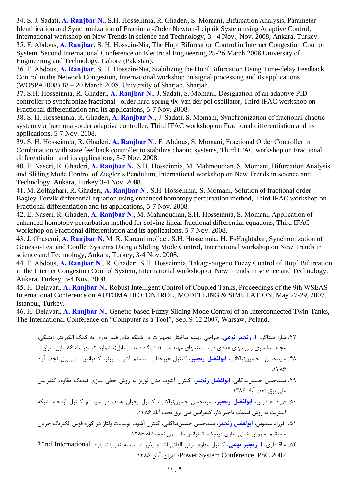34. S. J. Sadati, **A. Ranjbar N.,** S.H. Hosseinnia, R. Ghaderi, S. Momani, Bifurcation Analysis, Parameter Identification and Synchronization of Fractional-Order Newton-Leipnik System using Adaptive Control, International workshop on New Trends in science and Technology, 3 - 4 Nov., Nov. 2008, Ankara, Turkey. 35. F. Abdous, **A. Ranjbar**, S. H. Hossein-Nia, The Hopf Bifurcation Control in Internet Congestion Control System, Second International Conference on Electrical Engineering 25-26 March 2008 University of Engineering and Technology, Lahore (Pakistan).

36. F. Abdous, **A. Ranjbar**, S. H. Hossein-Nia, Stabilizing the Hopf Bifurcation Using Time-delay Feedback Control in the Network Congestion, International workshop on signal processing and its applications (WOSPA2008) 18 – 20 March 2008, University of Sharjah, Sharjah.

37. S.H. Hosseinnia, R. Ghaderi, **A. Ranjbar N**., J. Sadati, S. Momani, Designation of an adaptive PID controller to synchronize fractional –order hard spring Φ6-van der pol oscillator, Third IFAC workshop on Fractional differentiation and its applications, 5-7 Nov. 2008.

38. S. H. Hosseinnia, R. Ghaderi, **A. Ranjbar N**., J. Sadati, S. Momani, Synchronization of fractional chaotic system via fractional-order adaptive controller, Third IFAC workshop on Fractional differentiation and its applications, 5-7 Nov. 2008.

39. S. H. Hosseinnia, R. Ghaderi, **A. Ranjbar N**., F. Abdous, S. Momani, Fractional Order Controller in Combination with state feedback controller to stabilize chaotic systems, Third IFAC workshop on Fractional differentiation and its applications, 5-7 Nov. 2008.

40. E. Naseri, R. Ghaderi, **A. Ranjbar N.**, S.H. Hosseinnia, M. Mahmoudian, S. Momani, Bifurcation Analysis and Sliding Mode Control of Ziegler's Pendulum, International workshop on New Trends in science and Technology, Ankara, Turkey,3-4 Nov. 2008.

41. M. Zolfaghari, R. Ghaderi, **A. Ranjbar N**., S.H. Hosseinnia, S. Momani, Solution of fractional order Bagley-Torvik differential equation using enhanced homotopy perturbation method, Third IFAC workshop on Fractional differentiation and its applications, 5-7 Nov. 2008.

42. E. Naseri, R. Ghaderi, **A. Ranjbar N**., M. Mahmoudian, S.H. Hosseinnia, S. Momani, Application of enhanced homotopy perturbation method for solving linear fractional differential equations, Third IFAC workshop on Fractional differentiation and its applications, 5-7 Nov. 2008.

43. J. Ghasemi, **A. Ranjbar N**, M. R. Karami mollaei, S.H. Hosseinnia, H. EsHaghtabar, Synchronization of Genesio-Tesi and Coullet Systems Using a Sliding Mode Control, International workshop on New Trends in science and Technology, Ankara, Turkey, 3-4 Nov. 2008.

44. F. Abdous, **A. Ranjbar N**., R. Ghaderi, S.H. Hosseinnia, Takagi-Sugeno Fuzzy Control of Hopf Bifurcation in the Internet Congestion Control System, International workshop on New Trends in science and Technology, Ankara, Turkey, 3-4 Nov. 2008.

45. H. Delavari, **A. Ranjbar N.**, Robust Intelligent Control of Coupled Tanks, Proceedings of the 9th WSEAS International Conference on AUTOMATIC CONTROL, MODELLING & SIMULATION, May 27-29, 2007, Istanbul, Turkey.

46. H. Delavari, **A. Ranjbar N.**, Genetic-based Fuzzy Sliding Mode Control of an Interconnected Twin-Tanks, The International Conference on "Computer as a Tool", Sep. 9-12 2007, Warsaw, Poland.

.47 سارا میناگر**، ا. رنجبر نوعي**، طراحی بهینه ساختار تجهیزات در شبکه های فیبر نوری به کمک الگوریتم ژنتیکی، مجله مدلسازی و روشهای عددی در سیستمهای مهندسی )دانشگاه صنعتی بابل(، شماره ،2 مهر ماه ،86 بابل، ایران. .48 سیدحسن حسیننیاکانی**، ابولفضل رنجبر**، کنترل غیرخطی سیستم آشوب لورنز، کنفرانس ملی برق نجف آباد .1386 .49 سیدحسن حسیننیاکانی، **ابولفضل رنجبر**، کنترل آشوب مدل لورنز به روش خطی سازی فیدبک مقاوم، کنفرانس ملی برق نجف آباد .1386 .50 فرزاد عبدوس، **ابولفضل رنجبر**، سیدحسن حسیننیاکانی، کنترل بحران هاپف در سیستم کنترل ازدحام شبکه اینترنت به روش فیدبک تاخیر دار، کنفرانس ملی برق نجف آباد .1386 .51 فرزاد عبدوس، **ابولفضل رنجبر**، سیدحسن حسیننیاکانی، کنترل آشوب نوسانات ولتاژ در کوره قوس الکتریک جریان

مستقیم به روش خطی سازی فیدبک، کنفرانس ملی برق نجف آباد .1386 .52 م.اقتداری**، ا. رنجبر نوعي،** کنترل مقاوم موتور القائی اشباع پذیر نسبت به تغییرات بار، International nd22 .1385 آبان ،تهران ،Power System Conference, PSC 2007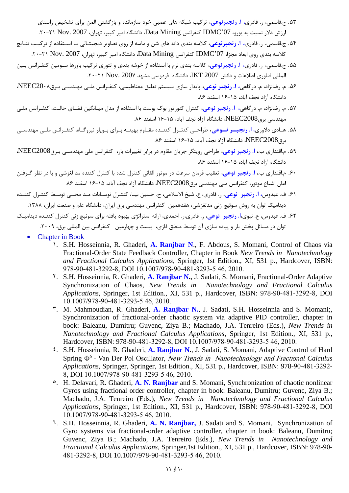- .53 ج.قاسمی، ر. قادری**، ا. رنجبرنوعي**، ترکیب شبکه های عصبی خود سازمانده و بازگشتی المن برای تشخیص راستای ارزش دلار نسبت به یورو، 07'IDMC کنفرانس Data Mining، دانشگاه امیر کبیر، تهران، Nov. 2007 .۲۱-۲۰.
- .54 ج.قاسمی، ر. قادری**، ا. رنجبرنوعي**، کالسه بندی دانه های شن و ماسه از روی تصاویر دیجیتاالی باا اساتفاده از ترکیاب نتاای کلاسه بندی روی ابعاد مجزا، 07'IDMC کنفرانس Data Mining، دانشگاه امیر کبیر، تهران، Nov. 2007 .۲۱-۲۰.
- ۵۵. ج.قاسمی، ر. قادری، **ا. رنجبرنوعی**، کلاسه بندی نرم با استفاده از خوشه بندی و تئوری ترکیب باورها سـومین کنفـرانس بـین المللی فناوری اطالعات و دانش 2007 IKT، دانشگاه فردوسی مشهد 2007 .Nov .20-21
- .56 م. رضانژاد، م. درگاهی**، ا. رنجبر نوعي،** پایدار سازی سیستم تعلیق مغناطیسی، کنفارانس ملای مهندسای بارق2008NEEC، دانشگاه آزاد نجف آباد، 16-15 اسفند .86
- .57 م. رضانژاد، م. درگاهی**، ا. رنجبر نوعي،** کنترل کنورتور بوک بوست با استفاده از مدل میاانگین فااای حالات، کنفارانس ملای مهندسی برق2008NEEC، دانشگاه آزاد نجف آباد، 16-15 اسفند .86
- ۵۸. هـادی دلاوری، ا. **رنجبــر نــوعی**، طراحـی کنتـرل کننــده مقـاوم بهینــه بـرای بـویلر نیروگــاه، کنفـرانس ملــی مهندســی برق2008NEEC، دانشگاه آزاد نجف آباد، 16-15 اسفند .86
- ۵۹. م.اقتداری ب، **ا. رنجبر نوعی،** طراحی رویتگر جریان مقاوم در برابر تغییرات بار، کنفرانس ملی مهندسـی بـرق2008NEEC، دانشگاه آزاد نجف آباد، 16-15 اسفند .86
- .60 م.اقتداری ب،. **ا. رنجبر نوعي،** تعقیب فرمان سرعت در موتور القائی کنترل شده با کنترل کننده مد لغزشی و با در نظر گارفتن امان اشباع موتور، کنفرانس ملی مهندسی برق2008NEEC، دانشگاه آزاد نجف آباد، 16-15 اسفند .86
- .61 ف. عبدوس**، ا. رنجبر نوعي**، ر. قادری، ع. شیخ االسالمی، ح. حسین نیاا، کنتارل نوساانات ماد محلای توسال کنتارل کنناده دینامیک توان به روش سوئیچ زنی مدلغزشی، هفدهمین کنفرانس مهندسی برق ایران، دانشگاه علم و صنعت ایران، ۱۳۸۸.
- .62 ف. عبدوس، ع. نبوی،**ا. رنجبر نوعي**، ر. قادری،ر. احمدی، ارائه استراتژی بهبود یافته برای سوئیچ زنی کنترل کنناده دینامیاک توان در مسائل پخش بار و پیاده سازی آن توسط منطق فازی، بیست و چهارمین کنفرانس بین المللی برق، ۲۰۰۹.
	- Chapter in Book
		- 1. S.H. Hosseinnia, R. Ghaderi, **A. Ranjbar N**., F. Abdous, S. Momani, Control of Chaos via Fractional-Order State Feedback Controller, Chapter in Book *New Trends in Nanotechnology and Fractional Calculus Applications*, Springer, 1st Edition., XI, 531 p., Hardcover, ISBN: 978-90-481-3292-8, DOI 10.1007/978-90-481-3293-5 46, 2010.
		- 2. S.H. Hosseinnia, R. Ghaderi, **A. Ranjbar N.**, J. Sadati, S. Momani, Fractional-Order Adaptive Synchronization of Chaos, *New Trends in Nanotechnology and Fractional Calculus Applications*, Springer, 1st Edition., XI, 531 p., Hardcover, ISBN: 978-90-481-3292-8, DOI 10.1007/978-90-481-3293-5 46, 2010.
		- 3. M. Mahmoudian, R. Ghaderi, **A. Ranjbar N.**, J. Sadati, S.H. Hosseinnia and S. Momani;, Synchronization of fractional-order chaotic system via adaptive PID controller, chapter in book: Baleanu, Dumitru; Guvenc, Ziya B.; Machado, J.A. Tenreiro (Eds.), *New Trends in Nanotechnology and Fractional Calculus Applications*, Springer, 1st Edition., XI, 531 p., Hardcover, ISBN: 978-90-481-3292-8, DOI 10.1007/978-90-481-3293-5 46, 2010.
		- 4. S.H. Hosseinnia, R. Ghaderi, **A. Ranjbar N.**, J. Sadati, S. Momani, Adaptive Control of Hard Spring  $\Phi^6$  - Van Der Pol Oscillator, *New Trends in Nanotechnology and Fractional Calculus Applications*, Springer, Springer, 1st Edition., XI, 531 p., Hardcover, ISBN: 978-90-481-3292- 8, DOI 10.1007/978-90-481-3293-5 46, 2010.
		- 5. H. Delavari, R. Ghaderi, **A. N. Ranjbar** and S. Momani, Synchronization of chaotic nonlinear Gyros using fractional order controller, chapter in book: Baleanu, Dumitru; Guvenc, Ziya B.; Machado, J.A. Tenreiro (Eds.), *New Trends in Nanotechnology and Fractional Calculus Applications*, Springer, 1st Edition., XI, 531 p., Hardcover, ISBN: 978-90-481-3292-8, DOI 10.1007/978-90-481-3293-5 46, 2010.
		- 6. S.H. Hosseinnia, R. Ghaderi, **A. N. Ranjbar,** J. Sadati and S. Momani, Synchronization of Gyro systems via fractional-order adaptive controller, chapter in book: Baleanu, Dumitru; Guvenc, Ziya B.; Machado, J.A. Tenreiro (Eds.), *New Trends in Nanotechnology and Fractional Calculus Applications*, Springer,1st Edition., XI, 531 p., Hardcover, ISBN: 978-90- 481-3292-8, DOI 10.1007/978-90-481-3293-5 46, 2010.